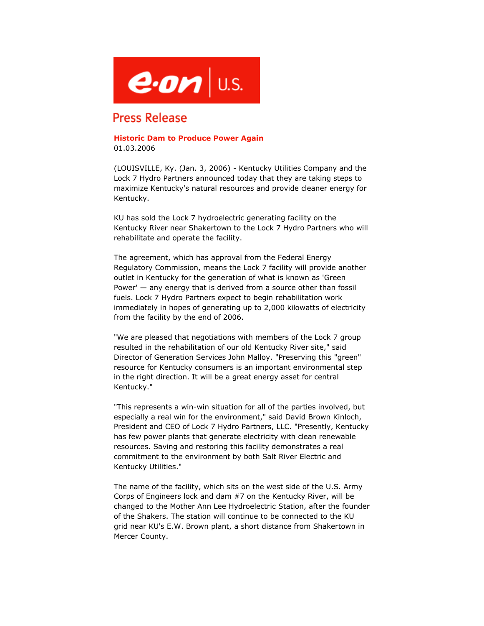

## **Press Release**

## **Historic Dam to Produce Power Again** 01.03.2006

(LOUISVILLE, Ky. (Jan. 3, 2006) - Kentucky Utilities Company and the Lock 7 Hydro Partners announced today that they are taking steps to maximize Kentucky's natural resources and provide cleaner energy for Kentucky.

KU has sold the Lock 7 hydroelectric generating facility on the Kentucky River near Shakertown to the Lock 7 Hydro Partners who will rehabilitate and operate the facility.

The agreement, which has approval from the Federal Energy Regulatory Commission, means the Lock 7 facility will provide another outlet in Kentucky for the generation of what is known as 'Green Power' — any energy that is derived from a source other than fossil fuels. Lock 7 Hydro Partners expect to begin rehabilitation work immediately in hopes of generating up to 2,000 kilowatts of electricity from the facility by the end of 2006.

"We are pleased that negotiations with members of the Lock 7 group resulted in the rehabilitation of our old Kentucky River site," said Director of Generation Services John Malloy. "Preserving this "green" resource for Kentucky consumers is an important environmental step in the right direction. It will be a great energy asset for central Kentucky."

"This represents a win-win situation for all of the parties involved, but especially a real win for the environment," said David Brown Kinloch, President and CEO of Lock 7 Hydro Partners, LLC. "Presently, Kentucky has few power plants that generate electricity with clean renewable resources. Saving and restoring this facility demonstrates a real commitment to the environment by both Salt River Electric and Kentucky Utilities."

The name of the facility, which sits on the west side of the U.S. Army Corps of Engineers lock and dam #7 on the Kentucky River, will be changed to the Mother Ann Lee Hydroelectric Station, after the founder of the Shakers. The station will continue to be connected to the KU grid near KU's E.W. Brown plant, a short distance from Shakertown in Mercer County.